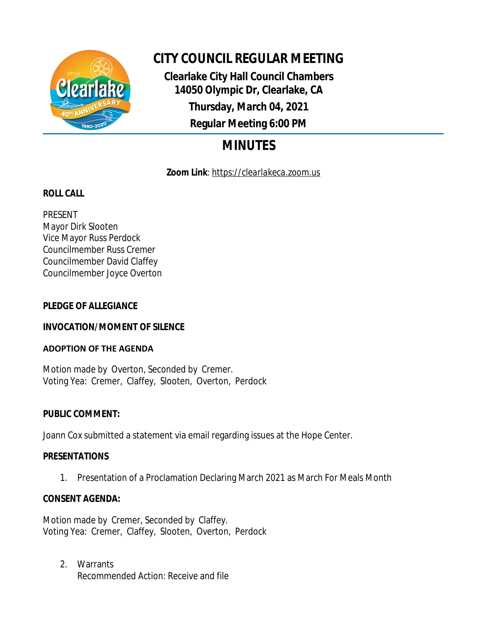

# **CITY COUNCIL REGULAR MEETING**

**Clearlake City Hall Council Chambers 14050 Olympic Dr, Clearlake, CA Thursday, March 04, 2021 Regular Meeting 6:00 PM**

# **MINUTES**

**Zoom Link**: *https://clearlakeca.zoom.us*

# **ROLL CALL**

PRESENT Mayor Dirk Slooten Vice Mayor Russ Perdock Councilmember Russ Cremer Councilmember David Claffey Councilmember Joyce Overton

# **PLEDGE OF ALLEGIANCE**

# **INVOCATION/MOMENT OF SILENCE**

## **ADOPTION OF THE AGENDA**

Motion made by Overton, Seconded by Cremer. Voting Yea: Cremer, Claffey, Slooten, Overton, Perdock

# **PUBLIC COMMENT:**

Joann Cox submitted a statement via email regarding issues at the Hope Center.

# **PRESENTATIONS**

1. Presentation of a Proclamation Declaring March 2021 as March For Meals Month

# **CONSENT AGENDA:**

Motion made by Cremer, Seconded by Claffey. Voting Yea: Cremer, Claffey, Slooten, Overton, Perdock

2. Warrants Recommended Action: Receive and file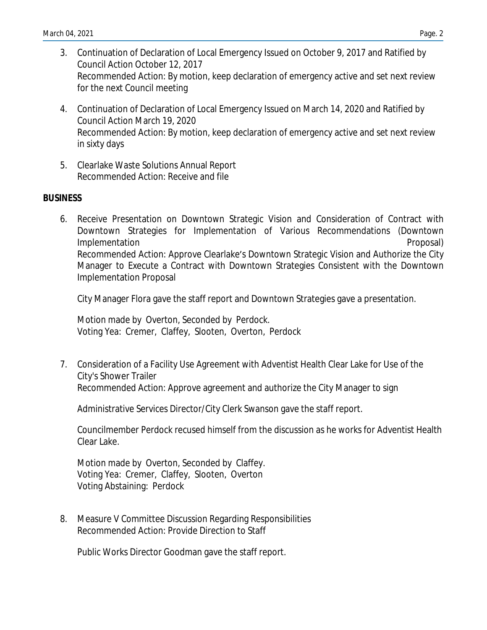- 3. Continuation of Declaration of Local Emergency Issued on October 9, 2017 and Ratified by Council Action October 12, 2017 Recommended Action: By motion, keep declaration of emergency active and set next review for the next Council meeting
- 4. Continuation of Declaration of Local Emergency Issued on March 14, 2020 and Ratified by Council Action March 19, 2020 Recommended Action: By motion, keep declaration of emergency active and set next review in sixty days
- 5. Clearlake Waste Solutions Annual Report Recommended Action: Receive and file

#### **BUSINESS**

6. Receive Presentation on Downtown Strategic Vision and Consideration of Contract with Downtown Strategies for Implementation of Various Recommendations (Downtown Implementation **Proposal** Recommended Action: Approve Clearlake's Downtown Strategic Vision and Authorize the City Manager to Execute a Contract with Downtown Strategies Consistent with the Downtown Implementation Proposal

City Manager Flora gave the staff report and Downtown Strategies gave a presentation.

Motion made by Overton, Seconded by Perdock. Voting Yea: Cremer, Claffey, Slooten, Overton, Perdock

7. Consideration of a Facility Use Agreement with Adventist Health Clear Lake for Use of the City's Shower Trailer Recommended Action: Approve agreement and authorize the City Manager to sign

Administrative Services Director/City Clerk Swanson gave the staff report.

Councilmember Perdock recused himself from the discussion as he works for Adventist Health Clear Lake.

Motion made by Overton, Seconded by Claffey. Voting Yea: Cremer, Claffey, Slooten, Overton Voting Abstaining: Perdock

8. Measure V Committee Discussion Regarding Responsibilities Recommended Action: Provide Direction to Staff

Public Works Director Goodman gave the staff report.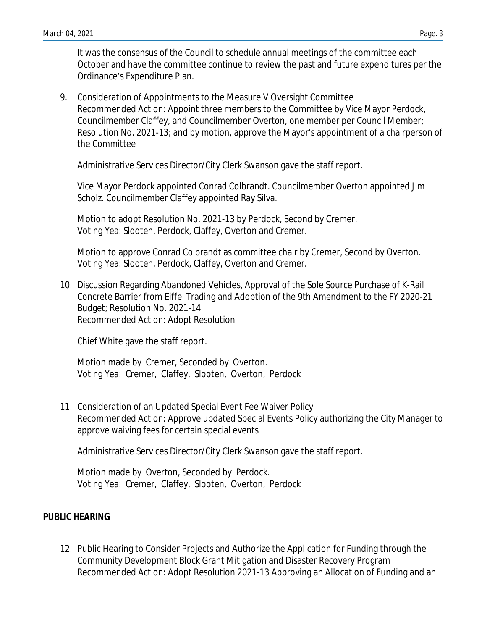It was the consensus of the Council to schedule annual meetings of the committee each October and have the committee continue to review the past and future expenditures per the Ordinance's Expenditure Plan.

9. Consideration of Appointments to the Measure V Oversight Committee Recommended Action: Appoint three members to the Committee by Vice Mayor Perdock, Councilmember Claffey, and Councilmember Overton, one member per Council Member; Resolution No. 2021-13; and by motion, approve the Mayor's appointment of a chairperson of the Committee

Administrative Services Director/City Clerk Swanson gave the staff report.

Vice Mayor Perdock appointed Conrad Colbrandt. Councilmember Overton appointed Jim Scholz. Councilmember Claffey appointed Ray Silva.

Motion to adopt Resolution No. 2021-13 by Perdock, Second by Cremer. Voting Yea: Slooten, Perdock, Claffey, Overton and Cremer.

Motion to approve Conrad Colbrandt as committee chair by Cremer, Second by Overton. Voting Yea: Slooten, Perdock, Claffey, Overton and Cremer.

10. Discussion Regarding Abandoned Vehicles, Approval of the Sole Source Purchase of K-Rail Concrete Barrier from Eiffel Trading and Adoption of the 9th Amendment to the FY 2020-21 Budget; Resolution No. 2021-14 Recommended Action: Adopt Resolution

Chief White gave the staff report.

Motion made by Cremer, Seconded by Overton. Voting Yea: Cremer, Claffey, Slooten, Overton, Perdock

11. Consideration of an Updated Special Event Fee Waiver Policy Recommended Action: Approve updated Special Events Policy authorizing the City Manager to approve waiving fees for certain special events

Administrative Services Director/City Clerk Swanson gave the staff report.

Motion made by Overton, Seconded by Perdock. Voting Yea: Cremer, Claffey, Slooten, Overton, Perdock

## **PUBLIC HEARING**

12. Public Hearing to Consider Projects and Authorize the Application for Funding through the Community Development Block Grant Mitigation and Disaster Recovery Program Recommended Action: Adopt Resolution 2021-13 Approving an Allocation of Funding and an